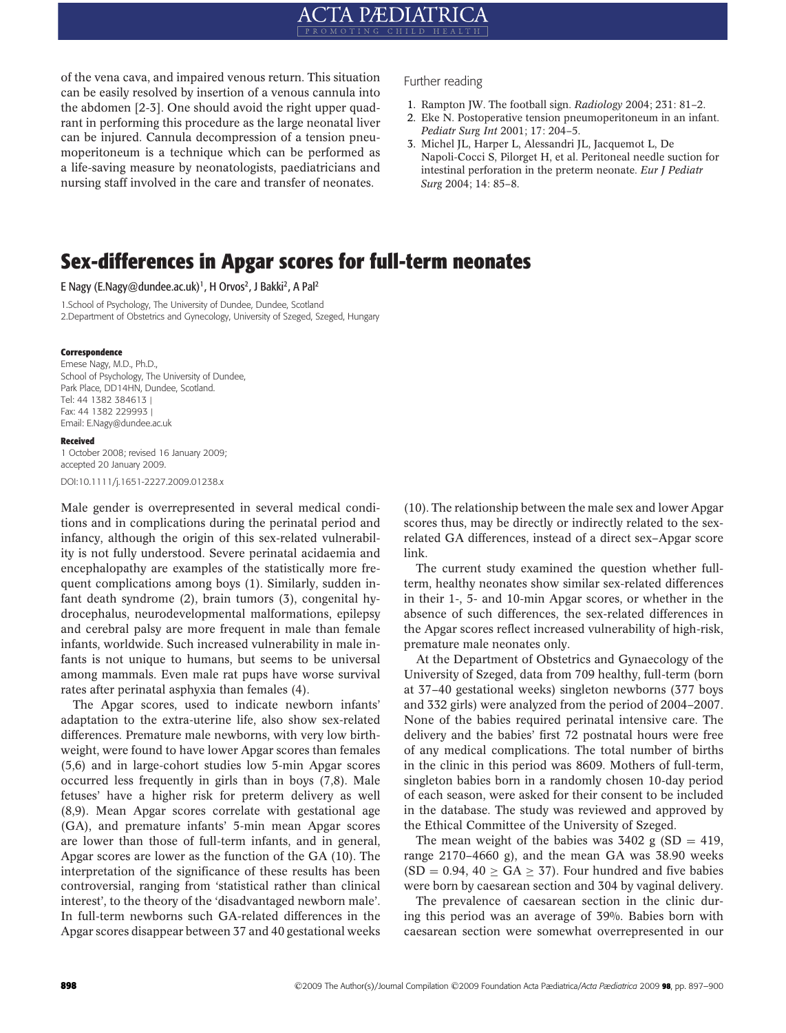# **ACTA PÆDIATRICA**

of the vena cava, and impaired venous return. This situation can be easily resolved by insertion of a venous cannula into the abdomen [2-3]. One should avoid the right upper quadrant in performing this procedure as the large neonatal liver can be injured. Cannula decompression of a tension pneumoperitoneum is a technique which can be performed as a life-saving measure by neonatologists, paediatricians and nursing staff involved in the care and transfer of neonates.

Further reading

- 1. Rampton JW. The football sign. *Radiology* 2004; 231: 81–2.
- 2. Eke N. Postoperative tension pneumoperitoneum in an infant. *Pediatr Surg Int* 2001; 17: 204–5.
- 3. Michel JL, Harper L, Alessandri JL, Jacquemot L, De Napoli-Cocci S, Pilorget H, et al. Peritoneal needle suction for intestinal perforation in the preterm neonate. *Eur J Pediatr Surg* 2004; 14: 85–8.

## **Sex-differences in Apgar scores for full-term neonates**

E Nagy (E.Nagy@dundee.ac.uk)<sup>1</sup>, H Orvos<sup>2</sup>, J Bakki<sup>2</sup>, A Pal<sup>2</sup>

1.School of Psychology, The University of Dundee, Dundee, Scotland 2.Department of Obstetrics and Gynecology, University of Szeged, Szeged, Hungary

#### **Correspondence**

Emese Nagy, M.D., Ph.D., School of Psychology, The University of Dundee, Park Place, DD14HN, Dundee, Scotland. Tel: 44 1382 384613 | Fax: 44 1382 229993 | Email: E.Nagy@dundee.ac.uk

#### **Received**

1 October 2008; revised 16 January 2009; accepted 20 January 2009. DOI:10.1111/j.1651-2227.2009.01238.x

Male gender is overrepresented in several medical conditions and in complications during the perinatal period and infancy, although the origin of this sex-related vulnerability is not fully understood. Severe perinatal acidaemia and encephalopathy are examples of the statistically more frequent complications among boys (1). Similarly, sudden infant death syndrome (2), brain tumors (3), congenital hydrocephalus, neurodevelopmental malformations, epilepsy and cerebral palsy are more frequent in male than female infants, worldwide. Such increased vulnerability in male infants is not unique to humans, but seems to be universal among mammals. Even male rat pups have worse survival rates after perinatal asphyxia than females (4).

The Apgar scores, used to indicate newborn infants' adaptation to the extra-uterine life, also show sex-related differences. Premature male newborns, with very low birthweight, were found to have lower Apgar scores than females (5,6) and in large-cohort studies low 5-min Apgar scores occurred less frequently in girls than in boys (7,8). Male fetuses' have a higher risk for preterm delivery as well (8,9). Mean Apgar scores correlate with gestational age (GA), and premature infants' 5-min mean Apgar scores are lower than those of full-term infants, and in general, Apgar scores are lower as the function of the GA (10). The interpretation of the significance of these results has been controversial, ranging from 'statistical rather than clinical interest', to the theory of the 'disadvantaged newborn male'. In full-term newborns such GA-related differences in the Apgar scores disappear between 37 and 40 gestational weeks

(10). The relationship between the male sex and lower Apgar scores thus, may be directly or indirectly related to the sexrelated GA differences, instead of a direct sex–Apgar score link.

The current study examined the question whether fullterm, healthy neonates show similar sex-related differences in their 1-, 5- and 10-min Apgar scores, or whether in the absence of such differences, the sex-related differences in the Apgar scores reflect increased vulnerability of high-risk, premature male neonates only.

At the Department of Obstetrics and Gynaecology of the University of Szeged, data from 709 healthy, full-term (born at 37–40 gestational weeks) singleton newborns (377 boys and 332 girls) were analyzed from the period of 2004–2007. None of the babies required perinatal intensive care. The delivery and the babies' first 72 postnatal hours were free of any medical complications. The total number of births in the clinic in this period was 8609. Mothers of full-term, singleton babies born in a randomly chosen 10-day period of each season, were asked for their consent to be included in the database. The study was reviewed and approved by the Ethical Committee of the University of Szeged.

The mean weight of the babies was  $3402$  g (SD = 419, range 2170–4660 g), and the mean GA was 38.90 weeks  $(SD = 0.94, 40 \ge GA \ge 37)$ . Four hundred and five babies were born by caesarean section and 304 by vaginal delivery.

The prevalence of caesarean section in the clinic during this period was an average of 39%. Babies born with caesarean section were somewhat overrepresented in our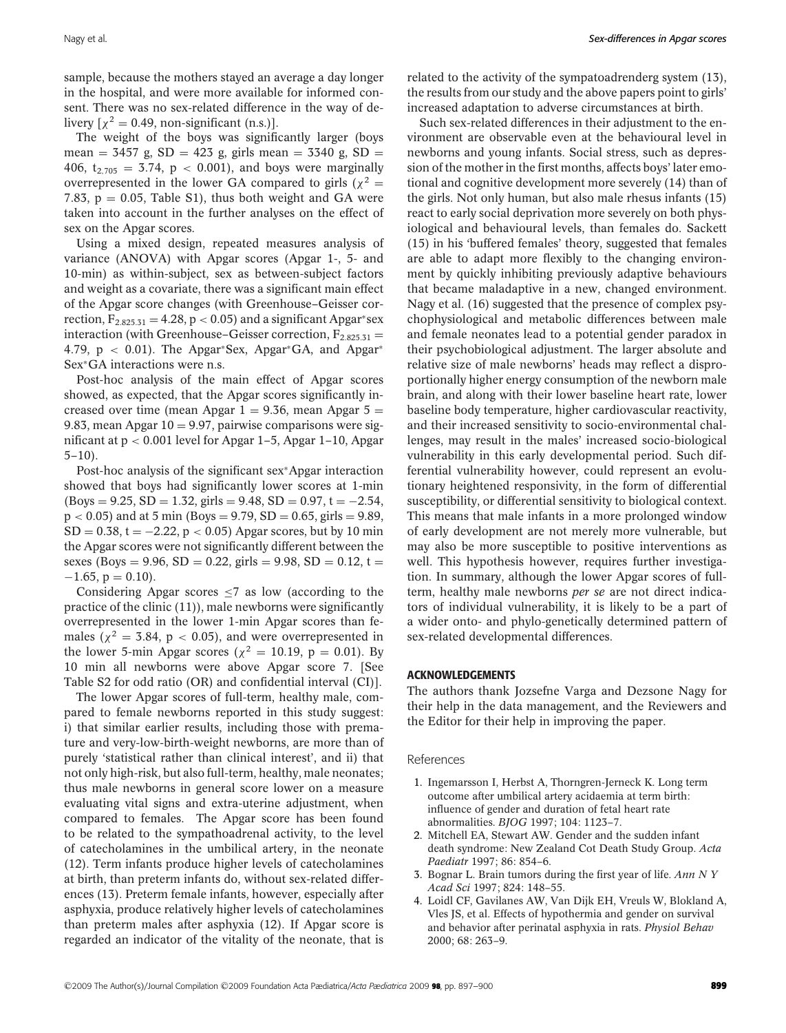sample, because the mothers stayed an average a day longer in the hospital, and were more available for informed consent. There was no sex-related difference in the way of delivery  $\lceil \chi^2 \rceil = 0.49$ , non-significant (n.s.).

The weight of the boys was significantly larger (boys mean =  $3457$  g,  $SD = 423$  g, girls mean =  $3340$  g,  $SD =$ 406,  $t_{2,705} = 3.74$ ,  $p < 0.001$ ), and boys were marginally overrepresented in the lower GA compared to girls ( $\chi^2$  = 7.83,  $p = 0.05$ , Table S1), thus both weight and GA were taken into account in the further analyses on the effect of sex on the Apgar scores.

Using a mixed design, repeated measures analysis of variance (ANOVA) with Apgar scores (Apgar 1-, 5- and 10-min) as within-subject, sex as between-subject factors and weight as a covariate, there was a significant main effect of the Apgar score changes (with Greenhouse–Geisser correction,  $F_{2.825,31} = 4.28$ , p < 0.05) and a significant Apgar\*sex interaction (with Greenhouse–Geisser correction,  $F_{2.825.31}$  = 4.79, p < 0.01). The Apgar∗Sex, Apgar∗GA, and Apgar<sup>∗</sup> Sex∗GA interactions were n.s.

Post-hoc analysis of the main effect of Apgar scores showed, as expected, that the Apgar scores significantly increased over time (mean Apgar  $1 = 9.36$ , mean Apgar  $5 =$ 9.83, mean Apgar  $10 = 9.97$ , pairwise comparisons were significant at  $p < 0.001$  level for Apgar 1–5, Apgar 1–10, Apgar  $5-10$ ).

Post-hoc analysis of the significant sex∗Apgar interaction showed that boys had significantly lower scores at 1-min  $(Boys = 9.25, SD = 1.32, girls = 9.48, SD = 0.97, t = -2.54,$  $p < 0.05$ ) and at 5 min (Boys = 9.79, SD = 0.65, girls = 9.89,  $SD = 0.38$ , t =  $-2.22$ , p < 0.05) Apgar scores, but by 10 min the Apgar scores were not significantly different between the sexes (Boys = 9.96, SD = 0.22, girls = 9.98, SD = 0.12, t =  $-1.65$ ,  $p = 0.10$ ).

Considering Apgar scores ≤7 as low (according to the practice of the clinic (11)), male newborns were significantly overrepresented in the lower 1-min Apgar scores than females ( $\chi^2$  = 3.84, p < 0.05), and were overrepresented in the lower 5-min Apgar scores ( $\chi^2 = 10.19$ , p = 0.01). By 10 min all newborns were above Apgar score 7. [See Table S2 for odd ratio (OR) and confidential interval (CI)].

The lower Apgar scores of full-term, healthy male, compared to female newborns reported in this study suggest: i) that similar earlier results, including those with premature and very-low-birth-weight newborns, are more than of purely 'statistical rather than clinical interest', and ii) that not only high-risk, but also full-term, healthy, male neonates; thus male newborns in general score lower on a measure evaluating vital signs and extra-uterine adjustment, when compared to females. The Apgar score has been found to be related to the sympathoadrenal activity, to the level of catecholamines in the umbilical artery, in the neonate (12). Term infants produce higher levels of catecholamines at birth, than preterm infants do, without sex-related differences (13). Preterm female infants, however, especially after asphyxia, produce relatively higher levels of catecholamines than preterm males after asphyxia (12). If Apgar score is regarded an indicator of the vitality of the neonate, that is related to the activity of the sympatoadrenderg system (13), the results from our study and the above papers point to girls' increased adaptation to adverse circumstances at birth.

Such sex-related differences in their adjustment to the environment are observable even at the behavioural level in newborns and young infants. Social stress, such as depression of the mother in the first months, affects boys' later emotional and cognitive development more severely (14) than of the girls. Not only human, but also male rhesus infants (15) react to early social deprivation more severely on both physiological and behavioural levels, than females do. Sackett (15) in his 'buffered females' theory, suggested that females are able to adapt more flexibly to the changing environment by quickly inhibiting previously adaptive behaviours that became maladaptive in a new, changed environment. Nagy et al. (16) suggested that the presence of complex psychophysiological and metabolic differences between male and female neonates lead to a potential gender paradox in their psychobiological adjustment. The larger absolute and relative size of male newborns' heads may reflect a disproportionally higher energy consumption of the newborn male brain, and along with their lower baseline heart rate, lower baseline body temperature, higher cardiovascular reactivity, and their increased sensitivity to socio-environmental challenges, may result in the males' increased socio-biological vulnerability in this early developmental period. Such differential vulnerability however, could represent an evolutionary heightened responsivity, in the form of differential susceptibility, or differential sensitivity to biological context. This means that male infants in a more prolonged window of early development are not merely more vulnerable, but may also be more susceptible to positive interventions as well. This hypothesis however, requires further investigation. In summary, although the lower Apgar scores of fullterm, healthy male newborns *per se* are not direct indicators of individual vulnerability, it is likely to be a part of a wider onto- and phylo-genetically determined pattern of sex-related developmental differences.

#### **ACKNOWLEDGEMENTS**

The authors thank Jozsefne Varga and Dezsone Nagy for their help in the data management, and the Reviewers and the Editor for their help in improving the paper.

References

- 1. Ingemarsson I, Herbst A, Thorngren-Jerneck K. Long term outcome after umbilical artery acidaemia at term birth: influence of gender and duration of fetal heart rate abnormalities. *BJOG* 1997; 104: 1123–7.
- 2. Mitchell EA, Stewart AW. Gender and the sudden infant death syndrome: New Zealand Cot Death Study Group. *Acta Paediatr* 1997; 86: 854–6.
- 3. Bognar L. Brain tumors during the first year of life. *Ann N Y Acad Sci* 1997; 824: 148–55.
- 4. Loidl CF, Gavilanes AW, Van Dijk EH, Vreuls W, Blokland A, Vles JS, et al. Effects of hypothermia and gender on survival and behavior after perinatal asphyxia in rats. *Physiol Behav* 2000; 68: 263–9.